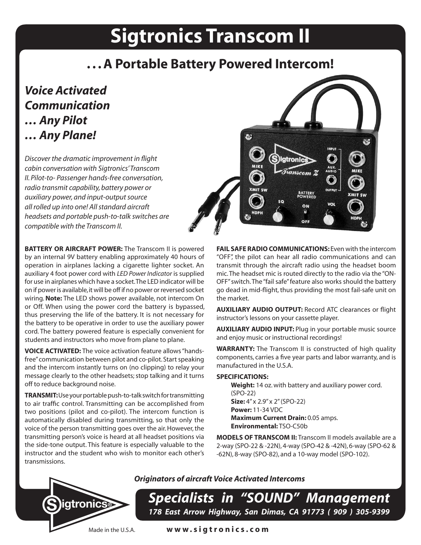# **Sigtronics Transcom II**

# **. . . A Portable Battery Powered Intercom!**

P.

# *Voice Activated Communication … Any Pilot … Any Plane!*

*Discover the dramatic improvement in flight cabin conversation with Sigtronics' Transcom II. Pilot-to- Passenger hands-free conversation, radio transmit capability, battery power or auxiliary power, and input-output source all rolled up into one! All standard aircraft headsets and portable push-to-talk switches are compatible with the Transcom II.*

**BATTERY OR AIRCRAFT POWER:** The Transcom II is powered by an internal 9V battery enabling approximately 40 hours of operation in airplanes lacking a cigarette lighter socket. An auxiliary 4 foot power cord with *LED Power Indicator* is supplied for use in airplanes which have a socket. The LED indicator will be on if power is available, it will be off if no power or reversed socket wiring. **Note:** The LED shows power available, not intercom On or Off. When using the power cord the battery is bypassed, thus preserving the life of the battery. It is not necessary for the battery to be operative in order to use the auxiliary power cord. The battery powered feature is especially convenient for students and instructors who move from plane to plane.

**VOICE ACTIVATED:** The voice activation feature allows "handsfree" communication between pilot and co-pilot. Start speaking and the intercom instantly turns on (no clipping) to relay your message clearly to the other headsets; stop talking and it turns off to reduce background noise.

**TRANSMIT:** Use your portable push-to-talk switch for transmitting to air traffic control. Transmitting can be accomplished from two positions (pilot and co-pilot). The intercom function is automatically disabled during transmitting, so that only the voice of the person transmitting goes over the air. However, the transmitting person's voice is heard at all headset positions via the side-tone output. This feature is especially valuable to the instructor and the student who wish to monitor each other's transmissions.



**BATTERY**<br>POWERED ON

OFF

**AUXILIARY AUDIO OUTPUT:** Record ATC clearances or flight instructor's lessons on your cassette player.

**AUXILIARY AUDIO INPUT:** Plug in your portable music source and enjoy music or instructional recordings!

**WARRANTY:** The Transcom II is constructed of high quality components, carries a five year parts and labor warranty, and is manufactured in the U.S.A.

## **SPECIFICATIONS:**

**Weight:** 14 oz. with battery and auxiliary power cord. (SPO-22) **Size:** 4" x 2.9" x 2" (SPO-22) **Power:** 11-34 VDC **Maximum Current Drain: 0.05 amps. Environmental:** TSO-C50b

**MODELS OF TRANSCOM II:** Transcom II models available are a 2-way (SPO-22 & -22N), 4-way (SPO-42 & -42N), 6-way (SPO-62 & -62N), 8-way (SPO-82), and a 10-way model (SPO-102).



*Originators of aircraft Voice Activated Intercoms*

*Specialists in "SOUND" Management 178 East Arrow Highway, San Dimas, CA 91773 ( 909 ) 305-9399*

Made in the U.S.A. **w w w . s i g t r o n i c s . c o m**